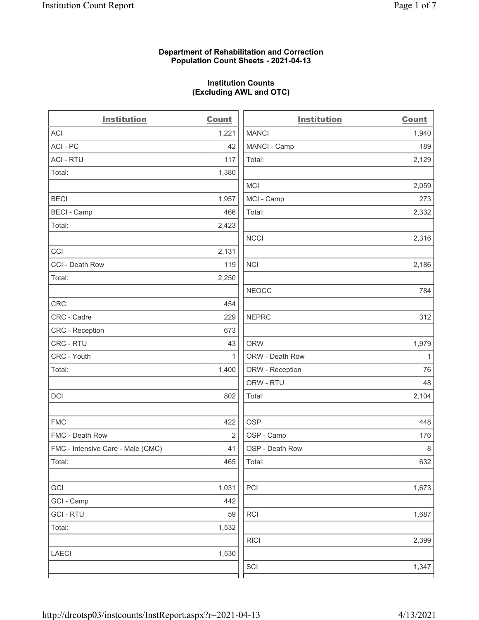## Department of Rehabilitation and Correction Population Count Sheets - 2021-04-13

## Institution Counts (Excluding AWL and OTC)

. .

| <b>Institution</b>                | <b>Count</b> | <b>Institution</b> | <b>Count</b> |
|-----------------------------------|--------------|--------------------|--------------|
| ACI                               | 1,221        | <b>MANCI</b>       | 1,940        |
| ACI-PC                            | 42           | MANCI - Camp       | 189          |
| <b>ACI - RTU</b>                  | 117          | Total:             | 2,129        |
| Total:                            | 1,380        |                    |              |
|                                   |              | MCI                | 2,059        |
| <b>BECI</b>                       | 1,957        | MCI - Camp         | 273          |
| <b>BECI - Camp</b>                | 466          | Total:             | 2,332        |
| Total:                            | 2,423        |                    |              |
|                                   |              | <b>NCCI</b>        | 2,316        |
| CCI                               | 2,131        |                    |              |
| CCI - Death Row                   | 119          | <b>NCI</b>         | 2,186        |
| Total:                            | 2,250        |                    |              |
|                                   |              | <b>NEOCC</b>       | 784          |
| <b>CRC</b>                        | 454          |                    |              |
| CRC - Cadre                       | 229          | <b>NEPRC</b>       | 312          |
| CRC - Reception                   | 673          |                    |              |
| CRC - RTU                         | 43           | <b>ORW</b>         | 1,979        |
| CRC - Youth                       | 1            | ORW - Death Row    | $\mathbf{1}$ |
| Total:                            | 1,400        | ORW - Reception    | 76           |
|                                   |              | ORW - RTU          | 48           |
| DCI                               | 802          | Total:             | 2,104        |
| <b>FMC</b>                        | 422          | <b>OSP</b>         | 448          |
| FMC - Death Row                   | 2            | OSP - Camp         | 176          |
| FMC - Intensive Care - Male (CMC) | 41           | OSP - Death Row    | 8            |
| Total:                            | 465          | Total:             | 632          |
| GCI                               | 1,031        | PCI                | 1,673        |
| GCI - Camp                        | 442          |                    |              |
| <b>GCI-RTU</b>                    | 59           | RCI                | 1,687        |
| Total:                            | 1,532        |                    |              |
|                                   |              | <b>RICI</b>        | 2,399        |
| <b>LAECI</b>                      | 1,530        |                    |              |
|                                   |              | SCI                | 1,347        |
|                                   |              |                    |              |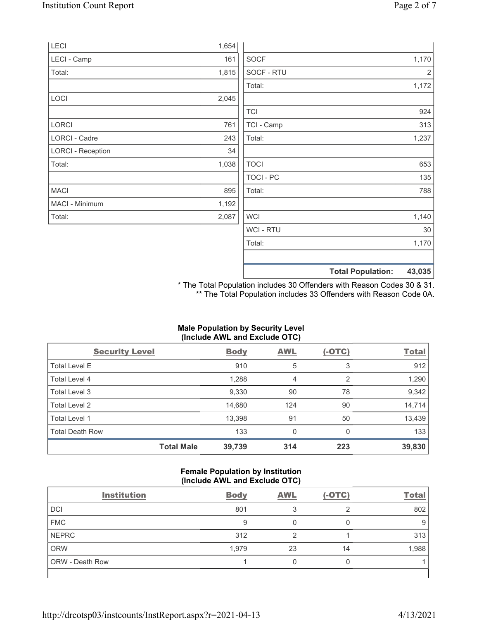|                          |       |             | <b>Total Population:</b> | 43,035 |
|--------------------------|-------|-------------|--------------------------|--------|
|                          |       |             |                          |        |
|                          |       | Total:      |                          | 1,170  |
|                          |       | WCI - RTU   |                          | $30\,$ |
| Total:                   | 2,087 | <b>WCI</b>  |                          | 1,140  |
| MACI - Minimum           | 1,192 |             |                          |        |
| <b>MACI</b>              | 895   | Total:      |                          | 788    |
|                          |       | TOCI - PC   |                          | 135    |
| Total:                   | 1,038 | <b>TOCI</b> |                          | 653    |
| <b>LORCI - Reception</b> | 34    |             |                          |        |
| LORCI - Cadre            | 243   | Total:      |                          | 1,237  |
| <b>LORCI</b>             | 761   | TCI - Camp  |                          | 313    |
|                          |       | <b>TCI</b>  |                          | 924    |
| LOCI                     | 2,045 |             |                          |        |
|                          |       | Total:      |                          | 1,172  |
| Total:                   | 1,815 | SOCF - RTU  |                          | 2      |
| LECI - Camp              | 161   | <b>SOCF</b> |                          | 1,170  |
| LECI                     | 1,654 |             |                          |        |

\* The Total Population includes 30 Offenders with Reason Codes 30 & 31. \*\* The Total Population includes 33 Offenders with Reason Code 0A.

#### Male Population by Security Level (Include AWL and Exclude OTC)

| <b>Security Level</b>  |                   | <b>Body</b> | AWL          | $(-OTC)$ | <b>Total</b> |
|------------------------|-------------------|-------------|--------------|----------|--------------|
| Total Level E          |                   | 910         | 5            | 3        | 912          |
| Total Level 4          |                   | 1,288       | 4            | 2        | 1,290        |
| Total Level 3          |                   | 9,330       | 90           | 78       | 9,342        |
| Total Level 2          |                   | 14,680      | 124          | 90       | 14,714       |
| Total Level 1          |                   | 13,398      | 91           | 50       | 13,439       |
| <b>Total Death Row</b> |                   | 133         | $\mathbf{0}$ | 0        | 133          |
|                        | <b>Total Male</b> | 39,739      | 314          | 223      | 39,830       |

#### Female Population by Institution (Include AWL and Exclude OTC)

| <b>Institution</b> | <b>Body</b> | <b>AWL</b> | $(-OTC)$ | <b>Total</b> |
|--------------------|-------------|------------|----------|--------------|
| <b>DCI</b>         | 801         |            | ◠        | 802          |
| <b>FMC</b>         | 9           |            |          |              |
| <b>NEPRC</b>       | 312         |            |          | 313          |
| <b>ORW</b>         | 1,979       | 23         | 14       | 1,988        |
| ORW - Death Row    |             |            |          |              |
|                    |             |            |          |              |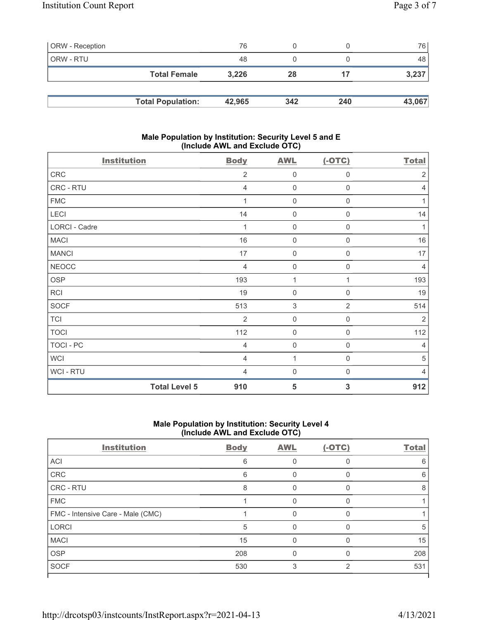| <b>ORW</b> - Reception |                          | 76     |     |     | 76 I   |
|------------------------|--------------------------|--------|-----|-----|--------|
| ORW - RTU              |                          | 48     |     |     | 48     |
|                        | <b>Total Female</b>      | 3.226  | 28  | 17  | 3,237  |
|                        |                          |        |     |     |        |
|                        | <b>Total Population:</b> | 42,965 | 342 | 240 | 43,067 |

## Male Population by Institution: Security Level 5 and E (Include AWL and Exclude OTC)

| <b>Institution</b> |                      | <b>Body</b>    | <b>AWL</b>          | $(-OTC)$            | <b>Total</b>   |
|--------------------|----------------------|----------------|---------------------|---------------------|----------------|
| CRC                |                      | $\overline{2}$ | $\mathbf 0$         | $\mathsf 0$         | $\sqrt{2}$     |
| CRC - RTU          |                      | $\overline{4}$ | $\mathbf 0$         | $\boldsymbol{0}$    | $\overline{4}$ |
| <b>FMC</b>         |                      |                | $\mathbf 0$         | 0                   | 1              |
| LECI               |                      | 14             | $\mathbf 0$         | $\boldsymbol{0}$    | 14             |
| LORCI - Cadre      |                      | 1              | $\mathsf{O}\xspace$ | $\boldsymbol{0}$    | 1              |
| <b>MACI</b>        |                      | 16             | $\mathsf{O}\xspace$ | $\boldsymbol{0}$    | 16             |
| <b>MANCI</b>       |                      | 17             | $\mathsf{O}\xspace$ | $\boldsymbol{0}$    | 17             |
| <b>NEOCC</b>       |                      | 4              | $\mathbf 0$         | $\boldsymbol{0}$    | $\overline{4}$ |
| <b>OSP</b>         |                      | 193            | $\mathbf{1}$        | 1                   | 193            |
| RCI                |                      | 19             | $\mathsf{O}\xspace$ | $\mathbf 0$         | 19             |
| SOCF               |                      | 513            | $\sqrt{3}$          | $\overline{2}$      | 514            |
| <b>TCI</b>         |                      | $\overline{2}$ | $\mathsf{O}\xspace$ | 0                   | $\overline{2}$ |
| <b>TOCI</b>        |                      | 112            | $\mathsf{O}\xspace$ | $\mathsf{O}\xspace$ | 112            |
| TOCI - PC          |                      | $\overline{4}$ | $\mathsf{O}\xspace$ | $\mathbf 0$         | $\overline{4}$ |
| <b>WCI</b>         |                      | $\overline{4}$ | 1                   | $\boldsymbol{0}$    | $\sqrt{5}$     |
| WCI - RTU          |                      | $\overline{4}$ | $\mathbf 0$         | $\boldsymbol{0}$    | $\overline{4}$ |
|                    | <b>Total Level 5</b> | 910            | 5                   | 3                   | 912            |

# Male Population by Institution: Security Level 4 (Include AWL and Exclude OTC)

| <b>Institution</b>                | <b>Body</b> | <b>AWL</b> | $(-OTC)$      | <b>Total</b> |
|-----------------------------------|-------------|------------|---------------|--------------|
| <b>ACI</b>                        | 6           |            | 0             | 6            |
| CRC                               | 6           |            |               | 6            |
| <b>CRC - RTU</b>                  | 8           |            | O             | 8            |
| <b>FMC</b>                        |             |            |               |              |
| FMC - Intensive Care - Male (CMC) |             |            | O             |              |
| <b>LORCI</b>                      | 5           |            |               | 5            |
| <b>MACI</b>                       | 15          | 0          | O             | 15           |
| <b>OSP</b>                        | 208         |            |               | 208          |
| <b>SOCF</b>                       | 530         | 3          | $\mathcal{P}$ | 531          |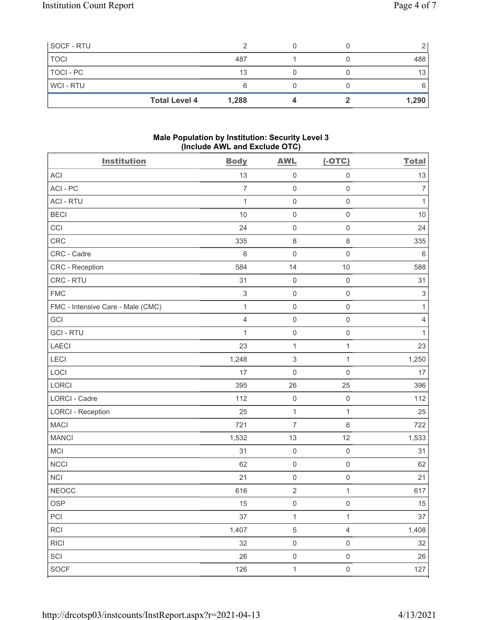| SOCF - RTU     |                      |       |  |       |
|----------------|----------------------|-------|--|-------|
| <b>TOCI</b>    |                      | 487   |  | 488   |
| TOCI - PC      |                      | 13    |  | 13    |
| <b>WCI-RTU</b> |                      |       |  |       |
|                | <b>Total Level 4</b> | 1,288 |  | 1,290 |

## Male Population by Institution: Security Level 3 (Include AWL and Exclude OTC)

| <b>Institution</b>                | <b>Body</b>    | <b>AWL</b>          | $(-OTC)$            | <b>Total</b>              |
|-----------------------------------|----------------|---------------------|---------------------|---------------------------|
| <b>ACI</b>                        | 13             | $\mathsf{O}\xspace$ | $\mathsf{O}\xspace$ | 13                        |
| ACI-PC                            | $\overline{7}$ | $\mathsf{O}\xspace$ | $\mathsf{O}\xspace$ | $\boldsymbol{7}$          |
| <b>ACI - RTU</b>                  | $\mathbf{1}$   | $\mathsf{O}\xspace$ | $\mathsf{O}\xspace$ | $\mathbf{1}$              |
| <b>BECI</b>                       | 10             | $\mathsf{O}\xspace$ | $\mathsf{O}\xspace$ | 10                        |
| CCI                               | 24             | $\mathsf{O}\xspace$ | $\mathsf{O}\xspace$ | 24                        |
| CRC                               | 335            | $\,8\,$             | 8                   | 335                       |
| CRC - Cadre                       | $6\,$          | $\mathsf{O}\xspace$ | $\mathsf 0$         | $\,6\,$                   |
| <b>CRC</b> - Reception            | 584            | 14                  | 10                  | 588                       |
| CRC - RTU                         | 31             | $\boldsymbol{0}$    | $\mathsf 0$         | 31                        |
| <b>FMC</b>                        | $\sqrt{3}$     | $\mathsf{O}\xspace$ | $\mathsf{O}\xspace$ | $\ensuremath{\mathsf{3}}$ |
| FMC - Intensive Care - Male (CMC) | 1              | $\mathsf{O}\xspace$ | $\mathsf{O}\xspace$ | $\mathbf{1}$              |
| <b>GCI</b>                        | $\overline{4}$ | $\mathsf{O}\xspace$ | $\mathsf{O}\xspace$ | $\overline{4}$            |
| <b>GCI-RTU</b>                    | $\mathbf{1}$   | $\mathsf{O}\xspace$ | $\mathsf 0$         | 1                         |
| LAECI                             | 23             | $\mathbf{1}$        | $\mathbf{1}$        | 23                        |
| LECI                              | 1,248          | $\,$ 3 $\,$         | $\mathbf{1}$        | 1,250                     |
| LOCI                              | 17             | $\mathsf{O}\xspace$ | $\mathsf 0$         | 17                        |
| LORCI                             | 395            | 26                  | 25                  | 396                       |
| LORCI - Cadre                     | 112            | $\mathsf{O}\xspace$ | $\mathsf 0$         | 112                       |
| <b>LORCI - Reception</b>          | 25             | $\mathbf{1}$        | 1                   | 25                        |
| <b>MACI</b>                       | 721            | $\overline{7}$      | $\,6\,$             | 722                       |
| <b>MANCI</b>                      | 1,532          | 13                  | 12                  | 1,533                     |
| MCI                               | 31             | $\mathsf{O}\xspace$ | $\mathsf 0$         | 31                        |
| <b>NCCI</b>                       | 62             | $\mathsf 0$         | $\mathsf{O}\xspace$ | 62                        |
| <b>NCI</b>                        | 21             | $\mathsf{O}\xspace$ | $\mathsf 0$         | 21                        |
| <b>NEOCC</b>                      | 616            | $\sqrt{2}$          | $\mathbf{1}$        | 617                       |
| OSP                               | 15             | $\mathsf{O}\xspace$ | $\mathsf{O}\xspace$ | $15\,$                    |
| PCI                               | 37             | $\mathbf{1}$        | $\mathbf{1}$        | $37\,$                    |
| RCI                               | 1,407          | $\,$ 5 $\,$         | $\overline{4}$      | 1,408                     |
| <b>RICI</b>                       | 32             | $\mathsf{O}\xspace$ | $\mathsf{O}\xspace$ | $32\,$                    |
| SCI                               | 26             | $\mathsf{O}\xspace$ | $\mathsf{O}\xspace$ | 26                        |
| SOCF                              | 126            | $\mathbf{1}$        | $\mathsf{O}\xspace$ | 127                       |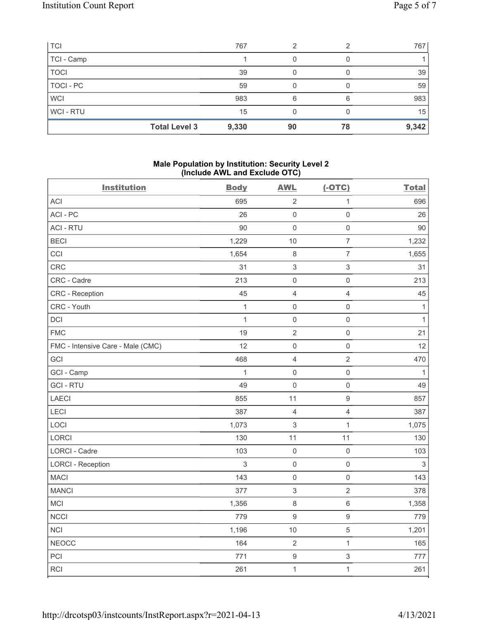| <b>TCI</b>  | 767                           | 2  | ◠  | 767   |
|-------------|-------------------------------|----|----|-------|
| TCI - Camp  |                               |    |    |       |
| <b>TOCI</b> | 39                            |    |    | 39    |
| TOCI - PC   | 59                            |    |    | 59    |
| <b>WCI</b>  | 983                           | 6  |    | 983   |
| WCI-RTU     | 15                            |    |    | 15    |
|             | <b>Total Level 3</b><br>9,330 | 90 | 78 | 9,342 |

#### Male Population by Institution: Security Level 2 (Include AWL and Exclude OTC)

| <b>Institution</b>                | <b>Body</b>  | <b>AWL</b>          | $(-OTC)$            | <b>Total</b>              |
|-----------------------------------|--------------|---------------------|---------------------|---------------------------|
| ACI                               | 695          | $\overline{2}$      | $\mathbf{1}$        | 696                       |
| ACI-PC                            | 26           | $\mathsf{O}\xspace$ | $\mathsf{O}\xspace$ | 26                        |
| <b>ACI - RTU</b>                  | 90           | $\mathsf{O}\xspace$ | $\mathsf{O}\xspace$ | 90                        |
| <b>BECI</b>                       | 1,229        | 10                  | $\overline{7}$      | 1,232                     |
| CCI                               | 1,654        | $\,8\,$             | $\overline{7}$      | 1,655                     |
| CRC                               | 31           | $\,$ 3 $\,$         | $\sqrt{3}$          | 31                        |
| CRC - Cadre                       | 213          | $\mathsf 0$         | $\mathsf{O}\xspace$ | 213                       |
| CRC - Reception                   | 45           | $\overline{4}$      | $\overline{4}$      | 45                        |
| CRC - Youth                       | $\mathbf{1}$ | $\mathsf 0$         | $\mathsf{O}\xspace$ | $\mathbf{1}$              |
| <b>DCI</b>                        | $\mathbf{1}$ | $\mathsf 0$         | $\mathsf{O}\xspace$ | $\mathbf{1}$              |
| <b>FMC</b>                        | 19           | $\sqrt{2}$          | $\mathsf{O}\xspace$ | 21                        |
| FMC - Intensive Care - Male (CMC) | 12           | $\mathsf 0$         | $\mathsf{O}\xspace$ | 12                        |
| GCI                               | 468          | $\sqrt{4}$          | $\overline{2}$      | 470                       |
| GCI - Camp                        | $\mathbf{1}$ | $\mathsf{O}\xspace$ | $\mathsf{O}\xspace$ | $\mathbf{1}$              |
| <b>GCI-RTU</b>                    | 49           | $\mathbf 0$         | $\mathsf{O}\xspace$ | 49                        |
| LAECI                             | 855          | 11                  | $\boldsymbol{9}$    | 857                       |
| LECI                              | 387          | $\sqrt{4}$          | $\overline{4}$      | 387                       |
| LOCI                              | 1,073        | $\sqrt{3}$          | $\mathbf{1}$        | 1,075                     |
| LORCI                             | 130          | 11                  | 11                  | 130                       |
| LORCI - Cadre                     | 103          | $\mathsf{O}\xspace$ | $\mathsf{O}\xspace$ | 103                       |
| <b>LORCI - Reception</b>          | 3            | $\mathsf 0$         | $\mathsf{O}\xspace$ | $\ensuremath{\mathsf{3}}$ |
| <b>MACI</b>                       | 143          | $\mathsf 0$         | $\mathsf{O}\xspace$ | 143                       |
| <b>MANCI</b>                      | 377          | $\sqrt{3}$          | $\sqrt{2}$          | 378                       |
| MCI                               | 1,356        | $\,8\,$             | 6                   | 1,358                     |
| <b>NCCI</b>                       | 779          | $\boldsymbol{9}$    | $\boldsymbol{9}$    | 779                       |
| <b>NCI</b>                        | 1,196        | $10$                | $\sqrt{5}$          | 1,201                     |
| <b>NEOCC</b>                      | 164          | $\sqrt{2}$          | $\mathbf{1}$        | 165                       |
| PCI                               | 771          | $\boldsymbol{9}$    | $\sqrt{3}$          | 777                       |
| RCI                               | 261          | $\mathbf{1}$        | $\mathbf{1}$        | 261                       |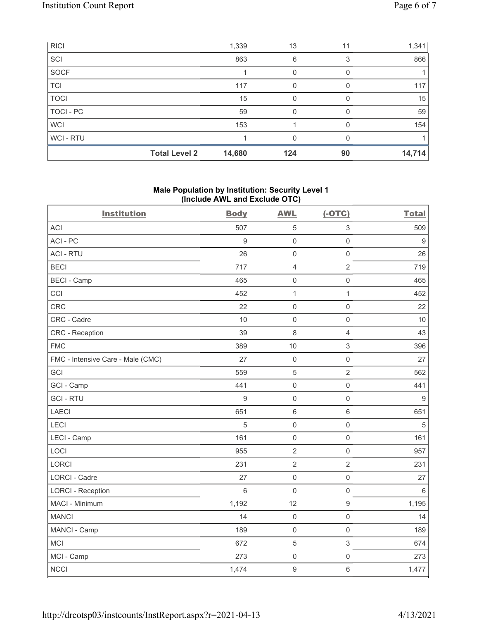| <b>RICI</b> |                      | 1,339  | 13  | 11 | 1,341  |
|-------------|----------------------|--------|-----|----|--------|
| SCI         |                      | 863    | 6   | 3  | 866    |
| <b>SOCF</b> |                      |        |     |    |        |
| <b>TCI</b>  |                      | 117    | 0   |    | 117    |
| <b>TOCI</b> |                      | 15     | 0   |    | 15     |
| TOCI - PC   |                      | 59     | 0   |    | 59     |
| <b>WCI</b>  |                      | 153    |     |    | 154    |
| WCI - RTU   |                      |        | O   |    |        |
|             | <b>Total Level 2</b> | 14,680 | 124 | 90 | 14,714 |

## Male Population by Institution: Security Level 1 (Include AWL and Exclude OTC)

| <b>Institution</b>                | <b>Body</b>      | <b>AWL</b>          | $(-OTC)$            | <b>Total</b>     |
|-----------------------------------|------------------|---------------------|---------------------|------------------|
| <b>ACI</b>                        | 507              | $\sqrt{5}$          | $\,$ 3 $\,$         | 509              |
| ACI-PC                            | 9                | $\mathbf 0$         | $\mathbf 0$         | $9\,$            |
| <b>ACI - RTU</b>                  | 26               | $\mathsf{O}\xspace$ | $\mathsf{O}\xspace$ | 26               |
| <b>BECI</b>                       | 717              | $\overline{4}$      | $\overline{2}$      | 719              |
| <b>BECI - Camp</b>                | 465              | $\mathbf 0$         | $\mathsf{O}\xspace$ | 465              |
| CCI                               | 452              | $\mathbf{1}$        | $\mathbf{1}$        | 452              |
| <b>CRC</b>                        | 22               | $\mathbf 0$         | $\mathsf 0$         | 22               |
| CRC - Cadre                       | 10               | $\mathsf 0$         | $\mathsf{O}\xspace$ | 10               |
| <b>CRC</b> - Reception            | 39               | $\,8\,$             | $\overline{4}$      | 43               |
| <b>FMC</b>                        | 389              | 10                  | $\mathfrak{S}$      | 396              |
| FMC - Intensive Care - Male (CMC) | 27               | $\mathsf{O}\xspace$ | $\mathsf 0$         | 27               |
| GCI                               | 559              | 5                   | $\overline{2}$      | 562              |
| GCI - Camp                        | 441              | $\mathbf 0$         | $\mathsf{O}\xspace$ | 441              |
| <b>GCI-RTU</b>                    | $\boldsymbol{9}$ | $\mathbf 0$         | $\mathsf 0$         | $\boldsymbol{9}$ |
| <b>LAECI</b>                      | 651              | $\,6\,$             | $\,6\,$             | 651              |
| LECI                              | 5                | $\mathbf 0$         | $\mathsf 0$         | $\sqrt{5}$       |
| LECI - Camp                       | 161              | $\mathsf 0$         | $\mathsf{O}\xspace$ | 161              |
| LOCI                              | 955              | $\overline{2}$      | $\mathsf{O}\xspace$ | 957              |
| LORCI                             | 231              | $\overline{2}$      | $\overline{2}$      | 231              |
| <b>LORCI - Cadre</b>              | 27               | $\mathsf 0$         | $\mathsf{O}\xspace$ | 27               |
| <b>LORCI - Reception</b>          | $6\,$            | $\mathbf 0$         | $\mathsf{O}\xspace$ | $\,6\,$          |
| MACI - Minimum                    | 1,192            | 12                  | $\boldsymbol{9}$    | 1,195            |
| <b>MANCI</b>                      | 14               | $\mathbf 0$         | $\mathsf{O}\xspace$ | 14               |
| MANCI - Camp                      | 189              | $\mathsf{O}\xspace$ | $\mathsf 0$         | 189              |
| <b>MCI</b>                        | 672              | 5                   | $\sqrt{3}$          | 674              |
| MCI - Camp                        | 273              | $\mathbf 0$         | $\mathsf 0$         | 273              |
| <b>NCCI</b>                       | 1,474            | $\boldsymbol{9}$    | $\,6\,$             | 1,477            |